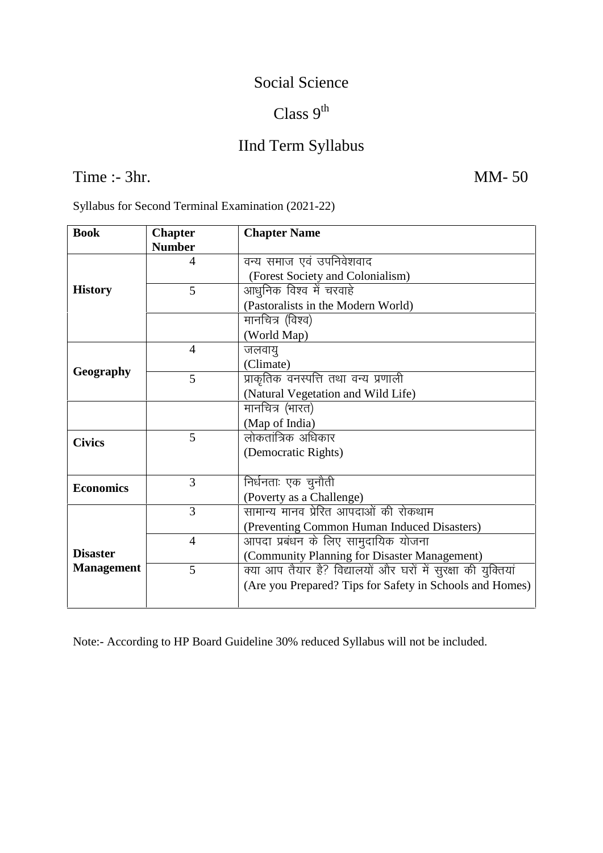#### Social Science

# Class  $9^{th}$

# IInd Term Syllabus

# Time :- 3hr. MM- 50

| Syllabus for Second Terminal Examination (2021-22) |  |
|----------------------------------------------------|--|
|----------------------------------------------------|--|

| <b>Book</b>       | <b>Chapter</b><br><b>Number</b> | <b>Chapter Name</b>                                           |  |  |  |
|-------------------|---------------------------------|---------------------------------------------------------------|--|--|--|
|                   | 4                               | वन्य समाज एवं उपनिवेशवाद                                      |  |  |  |
| <b>History</b>    |                                 | (Forest Society and Colonialism)                              |  |  |  |
|                   | 5                               | आधुनिक विश्व में चरवाहे                                       |  |  |  |
|                   |                                 | (Pastoralists in the Modern World)                            |  |  |  |
|                   |                                 | मानचित्र (विश्व)                                              |  |  |  |
|                   |                                 | (World Map)                                                   |  |  |  |
| Geography         | $\overline{4}$                  | जलवायु                                                        |  |  |  |
|                   |                                 | (Climate)                                                     |  |  |  |
|                   | 5                               | प्राकृतिक वनस्पत्ति तथा वन्य प्रणाली                          |  |  |  |
|                   |                                 | (Natural Vegetation and Wild Life)                            |  |  |  |
|                   |                                 | मानचित्र (भारत)                                               |  |  |  |
|                   |                                 | (Map of India)                                                |  |  |  |
| <b>Civics</b>     | 5                               | लोकतांत्रिक अधिकार                                            |  |  |  |
|                   |                                 | (Democratic Rights)                                           |  |  |  |
|                   |                                 |                                                               |  |  |  |
| <b>Economics</b>  | 3                               | निर्धनताः एक चुनौती                                           |  |  |  |
|                   |                                 | (Poverty as a Challenge)                                      |  |  |  |
|                   | 3                               | सामान्य मानव प्रेरित आपदाओं की रोकथाम                         |  |  |  |
|                   |                                 | (Preventing Common Human Induced Disasters)                   |  |  |  |
|                   | 4                               | <u>आपदा प्रबंधन के लिए सामु</u> दायिक योजना                   |  |  |  |
| <b>Disaster</b>   |                                 | (Community Planning for Disaster Management)                  |  |  |  |
| <b>Management</b> | 5                               | क्या आप तैयार है? विद्यालयों और घरों में सुरक्षा की युक्तियां |  |  |  |
|                   |                                 | (Are you Prepared? Tips for Safety in Schools and Homes)      |  |  |  |
|                   |                                 |                                                               |  |  |  |

Note:- According to HP Board Guideline 30% reduced Syllabus will not be included.